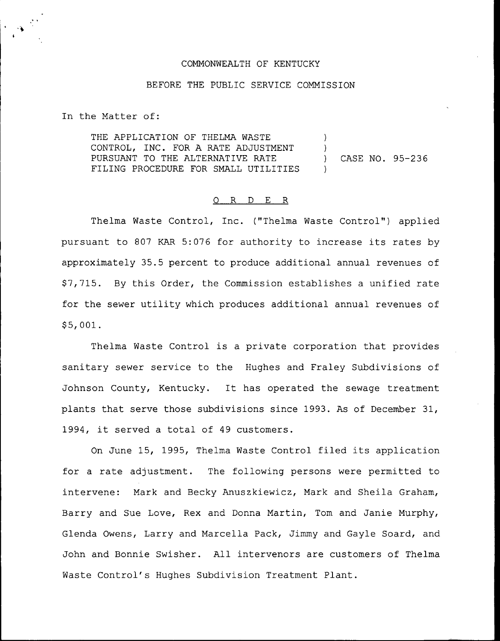#### COMMONWEALTH OF KENTUCKY

# BEFORE THE PUBLIC SERVICE COMMISSION

In the Matter of:

THE APPLICATION OF THELMA WASTE CONTROL, INC. FOR A RATE ADJUSTMENT PURSUANT TO THE ALTERNATIVE RATE FILING PROCEDURE FOR SMALL UTILITIES ) ) ) CASE NO. 95-236 )

## 0 R <sup>D</sup> E R

Thelma Waste Control, Inc. ("Thelma Waste Control") applied pursuant to <sup>807</sup> KAR 5:076 for authority to increase its rates by approximately 35.5 percent to produce additional annual revenues of \$ 7,715. By this Order, the Commission establishes a unified rate for the sewer utility which produces additional annual revenues of \$ 5, 001.

Thelma Waste Control is a private corporation that provides sanitary sewer service to the Hughes and Fraley Subdivisions of Johnson County, Kentucky. It has operated the sewage treatment plants that serve those subdivisions since 1993. As of December 31, 1994, it served <sup>a</sup> total of <sup>49</sup> customers.

On June 15, 1995, Thelma Waste Control filed its application for a rate adjustment. The following persons were permitted to intervene: Mark and Becky Anuszkiewicz, Mark and Sheila Graham, Barry and Sue Love, Rex and Donna Martin, Tom and Janie Murphy, Glenda Owens, Larry and Marcella Pack, Jimmy and Gayle Soard, and John and Bonnie Swisher. All intervenors are customers of Thelma Waste Control's Hughes Subdivision Treatment Plant.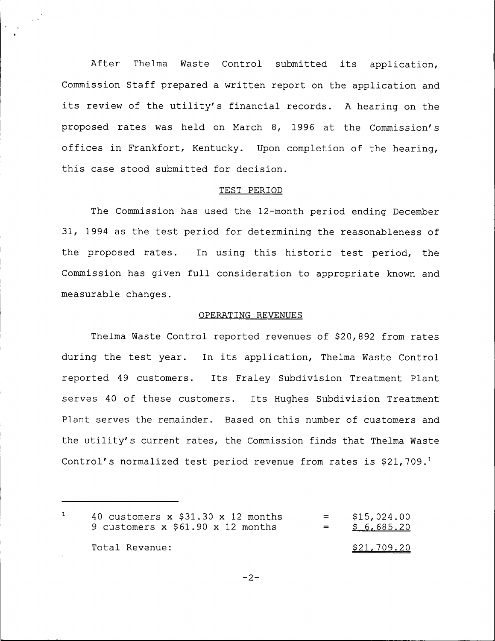After Thelma Waste Control submitted its application, Commission Staff prepared <sup>a</sup> written report on the application and its review of the utility's financial records. <sup>A</sup> hearing on the proposed rates was held on March 8, 1996 at the Commission's offices in Frankfort, Kentucky. Upon completion of the hearing, this case stood submitted for decision.

#### TEST PERIOD

The Commission has used the 12-month period ending December 31, 1994 as the test period for determining the reasonableness of the proposed rates. In using this historic test period, the Commission has given full consideration to appropriate known and measurable changes.

#### OPERATING REVENUES

Thelma Waste Control reported revenues of \$20,892 from rates during the test year. In its application, Thelma Waste Control reported 49 customers. Its Fraley Subdivision Treatment Plant serves <sup>40</sup> of these customers. Its Hughes Subdivision Treatment Plant serves the remainder. Based on this number of customers and the utility's current rates, the Commission finds that Thelma Waste Control's normalized test period revenue from rates is  $$21,709$ .

 $\mathbf{1}$ 40 customers  $x$  \$31.30  $x$  12 months \$ 15, 024. 00  $\equiv$  100  $\pm$ 9 customers x \$61.90 x 12 months  $\equiv$  $$6, 685.20$ Total Revenue:  $\frac{$21,709.20}{20}$ 

 $-2-$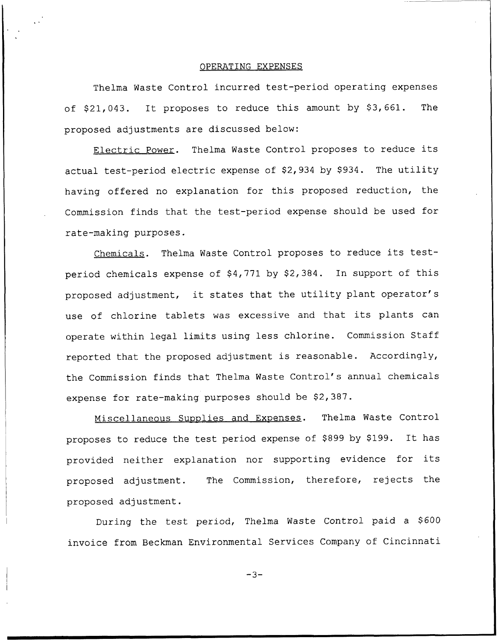## OPERATING EXPENSES

Thelma Waste Control incurred test-period operating expenses of \$21,043. It proposes to reduce this amount by \$3,661. The proposed adjustments are discussed below:

Electric Power. Thelma Waste Control proposes to reduce its actual test-period electric expense of \$2,934 by \$934. The utility having offered no explanation for this proposed reduction, the Commission finds that the test-period expense should be used for rate-making purposes.

Chemicals. Thelma Waste Control proposes to reduce its testperiod chemicals expense of  $$4,771$  by  $$2,384$ . In support of this proposed adjustment, it states that the utility plant operator's use of chlorine tablets was excessive and that its plants can operate within legal limits using less chlorine. Commission Staff reported that the proposed adjustment is reasonable. Accordingly, the Commission finds that Thelma Waste Control's annual chemicals expense for rate-making purposes should be \$2,387.

Miscellaneous Supplies and Expenses. Thelma Waste Control proposes to reduce the test period expense of \$899 by \$199. It has provided neither explanation nor supporting evidence for its proposed adjustment. The Commission, therefore, rejects the proposed adjustment.

During the test period, Thelma Waste Control paid a \$600 invoice from Beckman Environmental Services Company of Cincinnati

 $-3-$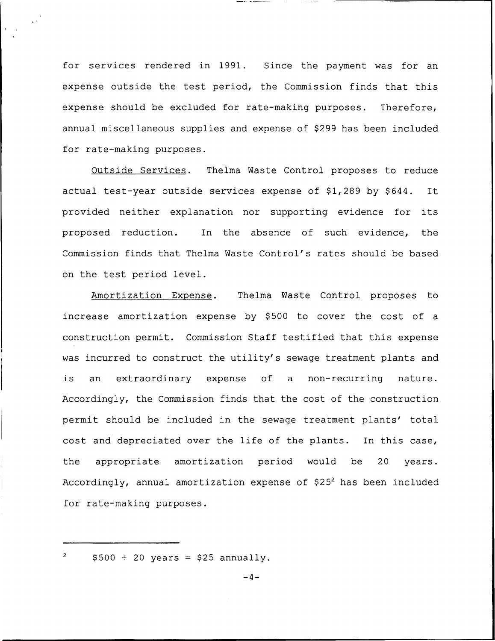for services rendered in 1991. Since the payment was for an expense outside the test period, the Commission finds that this expense should be excluded for rate-making purposes. Therefore, annual miscellaneous supplies and expense of \$299 has been included for rate-making purposes.

Outside Services. Thelma Waste Control proposes to reduce actual test-year outside services expense of \$1,289 by \$644. It provided neither explanation nor supporting evidence for its proposed reduction. In the absence of such evidence, the Commission finds that Thelma Waste Control's rates should be based on the test period level.

Amortization Expense. Thelma Waste Control proposes to increase amortization expense by \$500 to cover the cost of a construction permit. Commission Staff testified that this expense was incurred to construct the utility's sewage treatment plants and is an extraordinary expense of <sup>a</sup> non-recurring nature. Accordingly, the Commission finds that the cost of the construction permit should be included in the sewage treatment plants' total cost and depreciated over the life of the plants. In this case, the appropriate amortization period would be 20 years. Accordingly, annual amortization expense of  $$25<sup>2</sup>$  has been included for rate-making purposes.

 $\sqrt{2}$  $$500 \div 20 \text{ years} = $25 \text{ annually}.$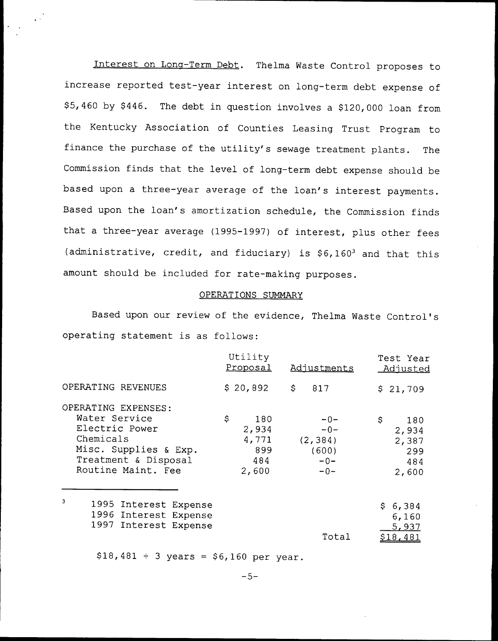Interest on Long-Term Debt. Thelma Waste Control proposes to increase reported test-year interest on long-term debt expense of \$5,460 by \$446. The debt in question involves a \$120,000 loan from the Kentucky Association of Counties Leasing Trust Program to finance the purchase of the utility's sewage treatment plants. The Commission finds that the level of long-term debt expense should be based upon <sup>a</sup> three-year average of the loan's interest payments. Based upon the loan's amortization schedule, the Commission finds that <sup>a</sup> three-year average (1995-1997) of interest, plus other fees (administrative, credit, and fiduciary) is  $$6,160^3$  and that this amount should be included for rate-making purposes.

#### OPERATIONS SUMMARY

Based upon our review of the evidence, Thelma Waste Control's operating statement is as follows:

|                       | Utility<br>Proposal | Adjustments | Test Year<br><u>Adjusted</u> |
|-----------------------|---------------------|-------------|------------------------------|
| OPERATING REVENUES    | \$20,892            | \$<br>817   | \$21,709                     |
| OPERATING EXPENSES:   |                     |             |                              |
| Water Service         | \$<br>180           | $-0-$       | \$<br>180                    |
| Electric Power        | 2,934               | $-0-$       | 2,934                        |
| Chemicals             | 4,771               | (2, 384)    | 2,387                        |
| Misc. Supplies & Exp. | 899                 | (600)       | 299                          |
| Treatment & Disposal  | 484                 | $-0-$       | 484                          |
| Routine Maint. Fee    | 2,600               | $-0-$       | 2,600                        |
| 3                     |                     |             |                              |
| 1995 Interest Expense |                     |             | \$6,384                      |
| 1996 Interest Expense |                     |             | 6,160                        |
| 1997 Interest Expense |                     |             | 5,937                        |
|                       |                     | Total       | <u>\$18,481</u>              |

 $$18,481 \div 3 \text{ years} = $6,160 \text{ per year}.$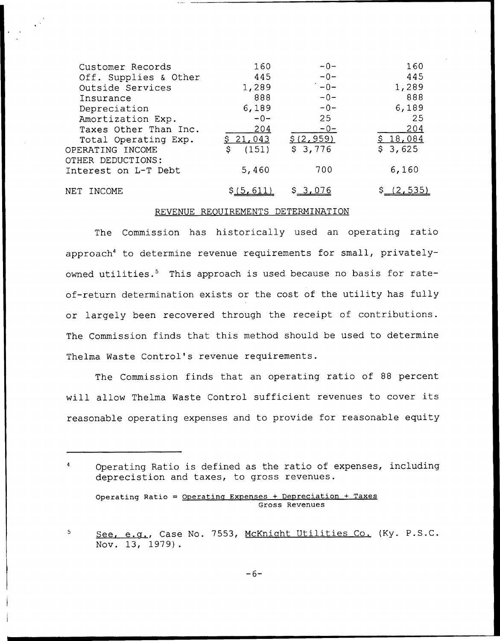| Customer Records      | 160         | $-0-$      | 160      |
|-----------------------|-------------|------------|----------|
| Off. Supplies & Other | 445         | $-0-$      | 445      |
| Outside Services      | 1,289       | $-0-$      | 1,289    |
| Insurance             | 888         | $-0-$      | 888      |
| Depreciation          | 6,189       | $-0-$      | 6,189    |
| Amortization Exp.     | $-0-$       | 25         | 25       |
| Taxes Other Than Inc. | 204         | $-0-$      | 204      |
| Total Operating Exp.  | \$21,043    | \$(2, 959) | \$18,084 |
| OPERATING INCOME      | (151)<br>S. | \$3,776    | \$3,625  |
| OTHER DEDUCTIONS:     |             |            |          |
| Interest on L-T Debt  | 5,460       | 700        | 6,160    |
|                       |             |            |          |
| NET.<br>TNCOME.       | 5.01        | S 3,076    | 2,535    |

# REVENUE REQUIREMENTS DETERMINATION

The Commission has historically used an operating ratio approach" to determine revenue requirements for small, privatelyowned utilities.<sup>5</sup> This approach is used because no basis for rateof-return determination exists or the cost of the utility has fully or largely been recovered through the receipt of contributions. The Commission finds that this method should be used to determine Thelma Waste Control's revenue requirements.

The Commission finds that an operating ratio of 88 percent will allow Thelma Waste Control sufficient revenues to cover its reasonable operating expenses and to provide for reasonable equity

Operating Ratio is defined as the ratio of expenses, including deprecistion and taxes, to gross revenues.

Operating Ratio = Operating Expenses + Depreciation + Taxes Gross Revenues

See, e.g., Case No. 7553, McKnight Utilities Co. (Ky. P.S.C.  $\overline{\mathbf{S}}$ Nov. 13, 1979).

 $-6-$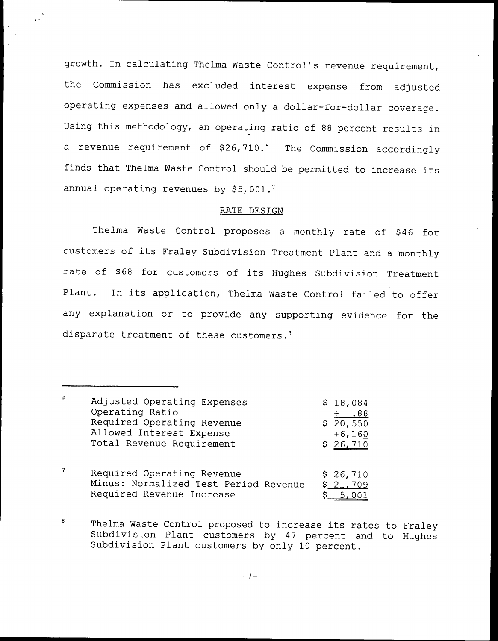growth. In calculating Thelma Waste Control's revenue requirement, the Commission has excluded interest expense from adjusted operating expenses and allowed only a dollar-for-dollar coverage. Using this methodology, an operating ratio of <sup>88</sup> percent results in a revenue requirement of  $$26,710.^6$  The Commission accordingly finds that Thelma Waste Control should be permitted to increase its annual operating revenues by  $$5,001.^7$ 

## RATE DESIGN

Thelma Waste Control proposes a monthly rate of \$46 for customers of its Fraley Subdivision Treatment Plant and <sup>a</sup> monthly rate of \$68 for customers of its Hughes Subdivision Treatment Plant. In its application, Thelma Waste Control failed to offer any explanation or to provide any supporting evidence for the disparate treatment of these customers.<sup>8</sup>

 $-7-$ 

 $\mathsf{6}$ Adjusted Operating Expenses 18, 084 Operating Ratio  $.88 + .$  $$20, 550$ Required Operating Revenue Allowed Interest Expense  $+6, 160$ Total Revenue Requirement \$ 26, 710  $\boldsymbol{7}$ Required Operating Revenue \$ 26, 710<br>Minus: Normalized Test Period Revenue \$ 21, 709 Minus: Normalized Test Period Revenue Required Revenue Increase  $\qquad \qquad$  \$ 5,001

 $\pmb{8}$ Thelma Waste Control proposed to increase its rates to Fraley Subdivision Plant customers by 47 percent and to Hughes Subdivision Plant customers by only 10 percent.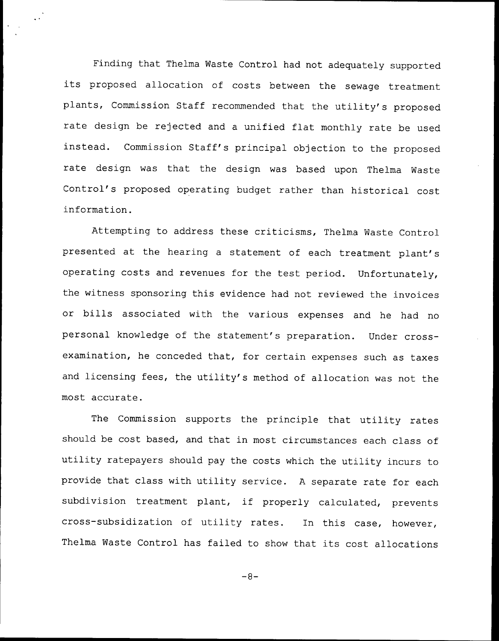Finding that Thelma Waste Control had not adequately supported its proposed allocation of costs between the sewage treatment plants, Commission Staff recommended that the utility's proposed rate design be rejected and <sup>a</sup> unified flat monthly rate be used instead. Commission Staff's principal objection to the proposed rate design was that the design was based upon Thelma Waste Control's proposed operating budget rather than historical cost information.

Attempting to address these criticisms, Thelma Waste Control presented at the hearing <sup>a</sup> statement of each treatment plant's operating costs and revenues for the test period. Unfortunately, the witness sponsoring this evidence had not reviewed the invoices or bills associated with the various expenses and he had no personal knowledge of the statement's preparation. Under crossexamination, he conceded that, for certain expenses such as taxes and licensing fees, the utility's method of allocation was not the most accurate.

The Commission supports the principle that utility rates should be cost based, and that in most circumstances each class of utility ratepayers should pay the costs which the utility incurs to provide that class with utility service. <sup>A</sup> separate rate for each subdivision treatment plant, if properly calculated, prevents cross-subsidization of utility rates. In this case, however, Thelma Waste Control has failed to show that its cost allocations

 $-8-$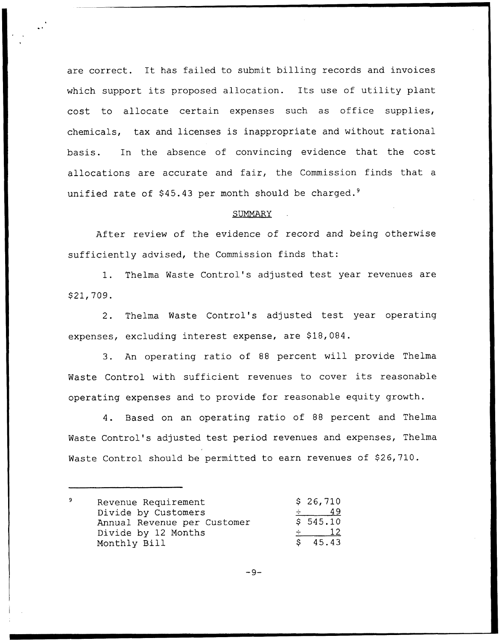are correct. It has failed to submit billing records and invoices which support its proposed allocation. Its use of utility plant cost to allocate certain expenses such as office supplies, chemicals, tax and licenses is inappropriate and without rational basis. In the absence of convincing evidence that the cost allocations are accurate and fair, the Commission finds that a unified rate of  $$45.43$  per month should be charged.<sup>9</sup>

## SUMMARY

After review of the evidence of record and being otherwise sufficiently advised, the Commission finds that:

1. Thelma Waste Control's adjusted test year revenues are \$ 21, 709.

2. Thelma Waste Control's adjusted test year operating expenses, excluding interest expense, are \$18,084.

3. An operating ratio of <sup>88</sup> percent will provide Thelma Waste Control with sufficient revenues to cover its reasonable operating expenses and to provide for reasonable equity growth.

4. Based on an operating ratio of 88 percent and Thelma Waste Control's adjusted test period revenues and expenses, Thelma Waste Control should be permitted to earn revenues of \$26,710.

| 9 | Revenue Requirement         | \$26,710 |
|---|-----------------------------|----------|
|   | Divide by Customers         | 49       |
|   | Annual Revenue per Customer | \$545.10 |
|   | Divide by 12 Months         |          |
|   | Monthly Bill                | \$45.43  |

$$
-9-
$$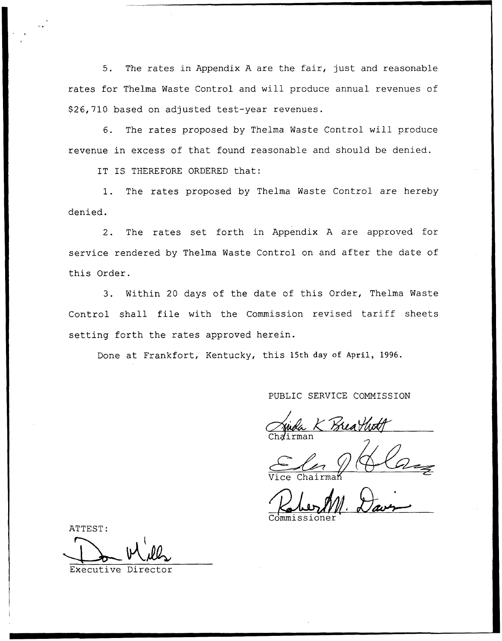5. The rates in Appendix <sup>A</sup> are the fair, just and reasonable rates for Thelma Waste Control and will produce annual revenues of \$26,710 based on adjusted test-year revenues.

6. The rates proposed by Thelma Waste Control will produce revenue in excess of that found reasonable and should be denied.

IT IS THEREFORE ORDERED that:

1. The rates proposed by Thelma Waste Control are hereby denied.

2. The rates set forth in Appendix <sup>A</sup> are approved for service rendered by Thelma Waste Control on and after the date of this Order.

3. Within 20 days of the date of this Order, Thelma Waste Control shall file with the Commission revised tariff sheets setting forth the rates approved herein.

Done at Frankfort, Kentucky, this 15th day of April, 1996.

PUBLIC SERVICE COMMISSION<br>Will K Breathoff Chairma

Vice Chairma

Commissione

ATTEST:

Executive Di